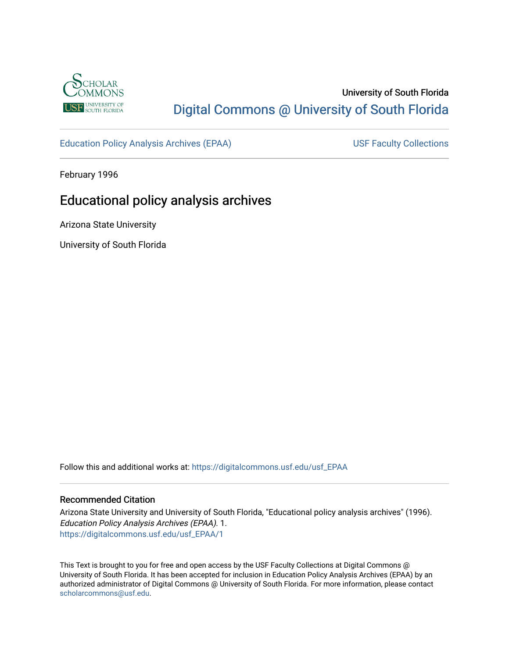

# University of South Florida [Digital Commons @ University of South Florida](https://digitalcommons.usf.edu/)

[Education Policy Analysis Archives \(EPAA\)](https://digitalcommons.usf.edu/usf_EPAA) USF Faculty Collections

February 1996

# Educational policy analysis archives

Arizona State University

University of South Florida

Follow this and additional works at: [https://digitalcommons.usf.edu/usf\\_EPAA](https://digitalcommons.usf.edu/usf_EPAA?utm_source=digitalcommons.usf.edu%2Fusf_EPAA%2F1&utm_medium=PDF&utm_campaign=PDFCoverPages)

#### Recommended Citation

Arizona State University and University of South Florida, "Educational policy analysis archives" (1996). Education Policy Analysis Archives (EPAA). 1. [https://digitalcommons.usf.edu/usf\\_EPAA/1](https://digitalcommons.usf.edu/usf_EPAA/1?utm_source=digitalcommons.usf.edu%2Fusf_EPAA%2F1&utm_medium=PDF&utm_campaign=PDFCoverPages)

This Text is brought to you for free and open access by the USF Faculty Collections at Digital Commons @ University of South Florida. It has been accepted for inclusion in Education Policy Analysis Archives (EPAA) by an authorized administrator of Digital Commons @ University of South Florida. For more information, please contact [scholarcommons@usf.edu.](mailto:scholarcommons@usf.edu)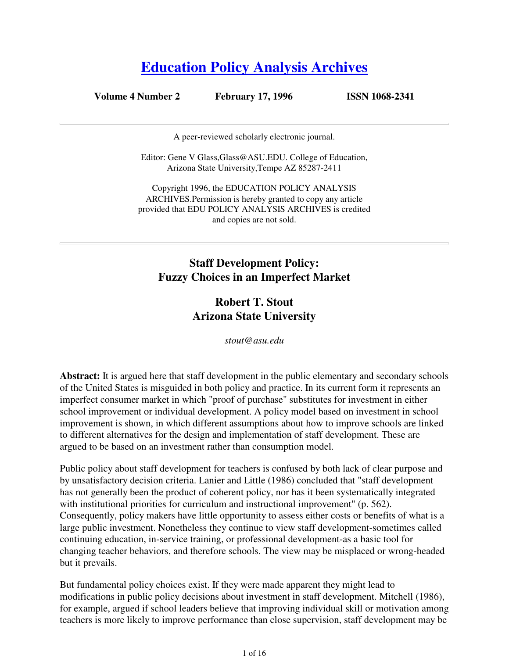# **Education Policy Analysis Archives**

## **Volume 4 Number 2 February 17, 1996 ISSN 1068-2341**

A peer-reviewed scholarly electronic journal.

Editor: Gene V Glass,Glass@ASU.EDU. College of Education, Arizona State University,Tempe AZ 85287-2411

Copyright 1996, the EDUCATION POLICY ANALYSIS ARCHIVES.Permission is hereby granted to copy any article provided that EDU POLICY ANALYSIS ARCHIVES is credited and copies are not sold.

# **Staff Development Policy: Fuzzy Choices in an Imperfect Market**

# **Robert T. Stout Arizona State University**

*stout@asu.edu*

**Abstract:** It is argued here that staff development in the public elementary and secondary schools of the United States is misguided in both policy and practice. In its current form it represents an imperfect consumer market in which "proof of purchase" substitutes for investment in either school improvement or individual development. A policy model based on investment in school improvement is shown, in which different assumptions about how to improve schools are linked to different alternatives for the design and implementation of staff development. These are argued to be based on an investment rather than consumption model.

Public policy about staff development for teachers is confused by both lack of clear purpose and by unsatisfactory decision criteria. Lanier and Little (1986) concluded that "staff development has not generally been the product of coherent policy, nor has it been systematically integrated with institutional priorities for curriculum and instructional improvement" (p. 562). Consequently, policy makers have little opportunity to assess either costs or benefits of what is a large public investment. Nonetheless they continue to view staff development-sometimes called continuing education, in-service training, or professional development-as a basic tool for changing teacher behaviors, and therefore schools. The view may be misplaced or wrong-headed but it prevails.

But fundamental policy choices exist. If they were made apparent they might lead to modifications in public policy decisions about investment in staff development. Mitchell (1986), for example, argued if school leaders believe that improving individual skill or motivation among teachers is more likely to improve performance than close supervision, staff development may be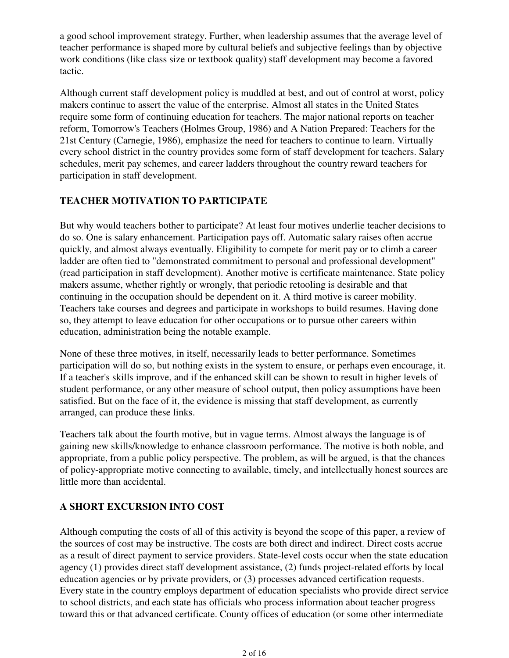a good school improvement strategy. Further, when leadership assumes that the average level of teacher performance is shaped more by cultural beliefs and subjective feelings than by objective work conditions (like class size or textbook quality) staff development may become a favored tactic.

Although current staff development policy is muddled at best, and out of control at worst, policy makers continue to assert the value of the enterprise. Almost all states in the United States require some form of continuing education for teachers. The major national reports on teacher reform, Tomorrow's Teachers (Holmes Group, 1986) and A Nation Prepared: Teachers for the 21st Century (Carnegie, 1986), emphasize the need for teachers to continue to learn. Virtually every school district in the country provides some form of staff development for teachers. Salary schedules, merit pay schemes, and career ladders throughout the country reward teachers for participation in staff development.

# **TEACHER MOTIVATION TO PARTICIPATE**

But why would teachers bother to participate? At least four motives underlie teacher decisions to do so. One is salary enhancement. Participation pays off. Automatic salary raises often accrue quickly, and almost always eventually. Eligibility to compete for merit pay or to climb a career ladder are often tied to "demonstrated commitment to personal and professional development" (read participation in staff development). Another motive is certificate maintenance. State policy makers assume, whether rightly or wrongly, that periodic retooling is desirable and that continuing in the occupation should be dependent on it. A third motive is career mobility. Teachers take courses and degrees and participate in workshops to build resumes. Having done so, they attempt to leave education for other occupations or to pursue other careers within education, administration being the notable example.

None of these three motives, in itself, necessarily leads to better performance. Sometimes participation will do so, but nothing exists in the system to ensure, or perhaps even encourage, it. If a teacher's skills improve, and if the enhanced skill can be shown to result in higher levels of student performance, or any other measure of school output, then policy assumptions have been satisfied. But on the face of it, the evidence is missing that staff development, as currently arranged, can produce these links.

Teachers talk about the fourth motive, but in vague terms. Almost always the language is of gaining new skills/knowledge to enhance classroom performance. The motive is both noble, and appropriate, from a public policy perspective. The problem, as will be argued, is that the chances of policy-appropriate motive connecting to available, timely, and intellectually honest sources are little more than accidental.

# **A SHORT EXCURSION INTO COST**

Although computing the costs of all of this activity is beyond the scope of this paper, a review of the sources of cost may be instructive. The costs are both direct and indirect. Direct costs accrue as a result of direct payment to service providers. State-level costs occur when the state education agency (1) provides direct staff development assistance, (2) funds project-related efforts by local education agencies or by private providers, or (3) processes advanced certification requests. Every state in the country employs department of education specialists who provide direct service to school districts, and each state has officials who process information about teacher progress toward this or that advanced certificate. County offices of education (or some other intermediate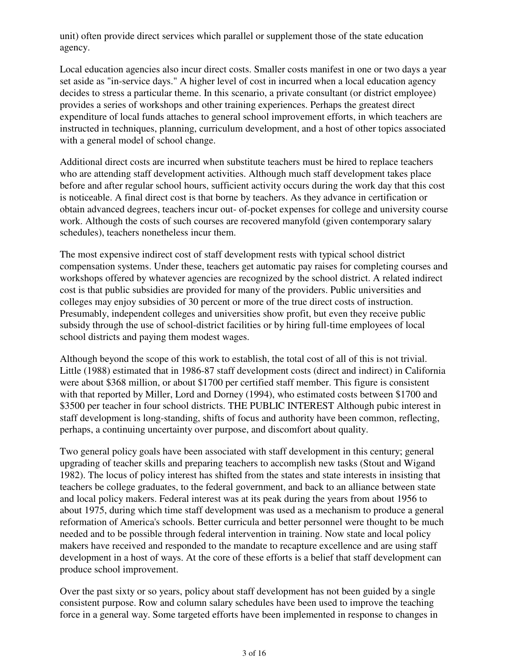unit) often provide direct services which parallel or supplement those of the state education agency.

Local education agencies also incur direct costs. Smaller costs manifest in one or two days a year set aside as "in-service days." A higher level of cost in incurred when a local education agency decides to stress a particular theme. In this scenario, a private consultant (or district employee) provides a series of workshops and other training experiences. Perhaps the greatest direct expenditure of local funds attaches to general school improvement efforts, in which teachers are instructed in techniques, planning, curriculum development, and a host of other topics associated with a general model of school change.

Additional direct costs are incurred when substitute teachers must be hired to replace teachers who are attending staff development activities. Although much staff development takes place before and after regular school hours, sufficient activity occurs during the work day that this cost is noticeable. A final direct cost is that borne by teachers. As they advance in certification or obtain advanced degrees, teachers incur out- of-pocket expenses for college and university course work. Although the costs of such courses are recovered manyfold (given contemporary salary schedules), teachers nonetheless incur them.

The most expensive indirect cost of staff development rests with typical school district compensation systems. Under these, teachers get automatic pay raises for completing courses and workshops offered by whatever agencies are recognized by the school district. A related indirect cost is that public subsidies are provided for many of the providers. Public universities and colleges may enjoy subsidies of 30 percent or more of the true direct costs of instruction. Presumably, independent colleges and universities show profit, but even they receive public subsidy through the use of school-district facilities or by hiring full-time employees of local school districts and paying them modest wages.

Although beyond the scope of this work to establish, the total cost of all of this is not trivial. Little (1988) estimated that in 1986-87 staff development costs (direct and indirect) in California were about \$368 million, or about \$1700 per certified staff member. This figure is consistent with that reported by Miller, Lord and Dorney (1994), who estimated costs between \$1700 and \$3500 per teacher in four school districts. THE PUBLIC INTEREST Although pubic interest in staff development is long-standing, shifts of focus and authority have been common, reflecting, perhaps, a continuing uncertainty over purpose, and discomfort about quality.

Two general policy goals have been associated with staff development in this century; general upgrading of teacher skills and preparing teachers to accomplish new tasks (Stout and Wigand 1982). The locus of policy interest has shifted from the states and state interests in insisting that teachers be college graduates, to the federal government, and back to an alliance between state and local policy makers. Federal interest was at its peak during the years from about 1956 to about 1975, during which time staff development was used as a mechanism to produce a general reformation of America's schools. Better curricula and better personnel were thought to be much needed and to be possible through federal intervention in training. Now state and local policy makers have received and responded to the mandate to recapture excellence and are using staff development in a host of ways. At the core of these efforts is a belief that staff development can produce school improvement.

Over the past sixty or so years, policy about staff development has not been guided by a single consistent purpose. Row and column salary schedules have been used to improve the teaching force in a general way. Some targeted efforts have been implemented in response to changes in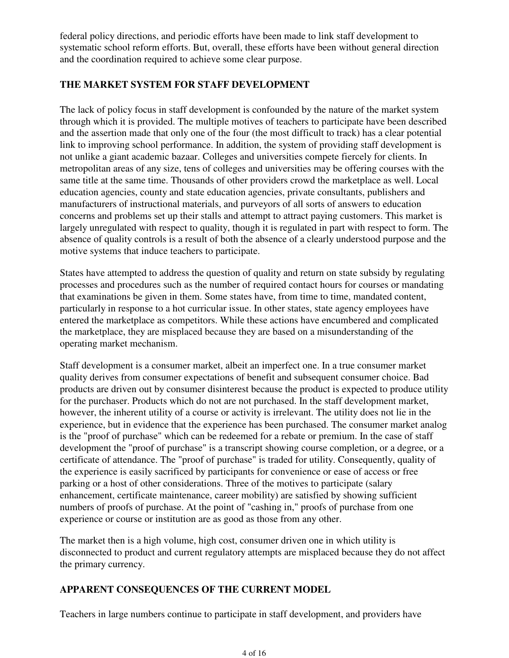federal policy directions, and periodic efforts have been made to link staff development to systematic school reform efforts. But, overall, these efforts have been without general direction and the coordination required to achieve some clear purpose.

# **THE MARKET SYSTEM FOR STAFF DEVELOPMENT**

The lack of policy focus in staff development is confounded by the nature of the market system through which it is provided. The multiple motives of teachers to participate have been described and the assertion made that only one of the four (the most difficult to track) has a clear potential link to improving school performance. In addition, the system of providing staff development is not unlike a giant academic bazaar. Colleges and universities compete fiercely for clients. In metropolitan areas of any size, tens of colleges and universities may be offering courses with the same title at the same time. Thousands of other providers crowd the marketplace as well. Local education agencies, county and state education agencies, private consultants, publishers and manufacturers of instructional materials, and purveyors of all sorts of answers to education concerns and problems set up their stalls and attempt to attract paying customers. This market is largely unregulated with respect to quality, though it is regulated in part with respect to form. The absence of quality controls is a result of both the absence of a clearly understood purpose and the motive systems that induce teachers to participate.

States have attempted to address the question of quality and return on state subsidy by regulating processes and procedures such as the number of required contact hours for courses or mandating that examinations be given in them. Some states have, from time to time, mandated content, particularly in response to a hot curricular issue. In other states, state agency employees have entered the marketplace as competitors. While these actions have encumbered and complicated the marketplace, they are misplaced because they are based on a misunderstanding of the operating market mechanism.

Staff development is a consumer market, albeit an imperfect one. In a true consumer market quality derives from consumer expectations of benefit and subsequent consumer choice. Bad products are driven out by consumer disinterest because the product is expected to produce utility for the purchaser. Products which do not are not purchased. In the staff development market, however, the inherent utility of a course or activity is irrelevant. The utility does not lie in the experience, but in evidence that the experience has been purchased. The consumer market analog is the "proof of purchase" which can be redeemed for a rebate or premium. In the case of staff development the "proof of purchase" is a transcript showing course completion, or a degree, or a certificate of attendance. The "proof of purchase" is traded for utility. Consequently, quality of the experience is easily sacrificed by participants for convenience or ease of access or free parking or a host of other considerations. Three of the motives to participate (salary enhancement, certificate maintenance, career mobility) are satisfied by showing sufficient numbers of proofs of purchase. At the point of "cashing in," proofs of purchase from one experience or course or institution are as good as those from any other.

The market then is a high volume, high cost, consumer driven one in which utility is disconnected to product and current regulatory attempts are misplaced because they do not affect the primary currency.

### **APPARENT CONSEQUENCES OF THE CURRENT MODEL**

Teachers in large numbers continue to participate in staff development, and providers have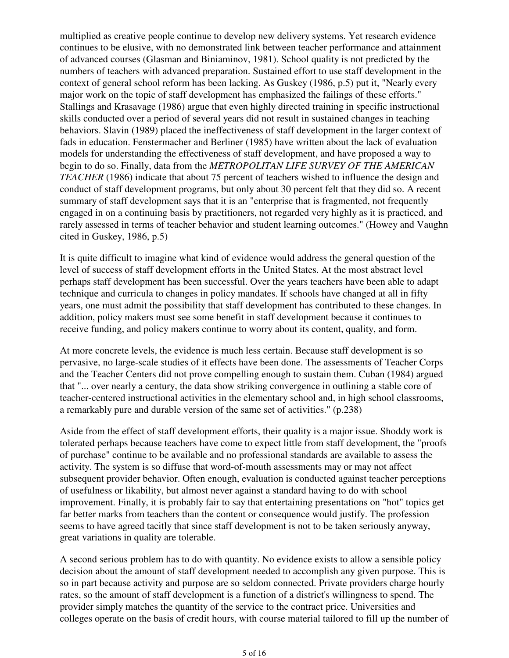multiplied as creative people continue to develop new delivery systems. Yet research evidence continues to be elusive, with no demonstrated link between teacher performance and attainment of advanced courses (Glasman and Biniaminov, 1981). School quality is not predicted by the numbers of teachers with advanced preparation. Sustained effort to use staff development in the context of general school reform has been lacking. As Guskey (1986, p.5) put it, "Nearly every major work on the topic of staff development has emphasized the failings of these efforts." Stallings and Krasavage (1986) argue that even highly directed training in specific instructional skills conducted over a period of several years did not result in sustained changes in teaching behaviors. Slavin (1989) placed the ineffectiveness of staff development in the larger context of fads in education. Fenstermacher and Berliner (1985) have written about the lack of evaluation models for understanding the effectiveness of staff development, and have proposed a way to begin to do so. Finally, data from the *METROPOLITAN LIFE SURVEY OF THE AMERICAN TEACHER* (1986) indicate that about 75 percent of teachers wished to influence the design and conduct of staff development programs, but only about 30 percent felt that they did so. A recent summary of staff development says that it is an "enterprise that is fragmented, not frequently engaged in on a continuing basis by practitioners, not regarded very highly as it is practiced, and rarely assessed in terms of teacher behavior and student learning outcomes." (Howey and Vaughn cited in Guskey, 1986, p.5)

It is quite difficult to imagine what kind of evidence would address the general question of the level of success of staff development efforts in the United States. At the most abstract level perhaps staff development has been successful. Over the years teachers have been able to adapt technique and curricula to changes in policy mandates. If schools have changed at all in fifty years, one must admit the possibility that staff development has contributed to these changes. In addition, policy makers must see some benefit in staff development because it continues to receive funding, and policy makers continue to worry about its content, quality, and form.

At more concrete levels, the evidence is much less certain. Because staff development is so pervasive, no large-scale studies of it effects have been done. The assessments of Teacher Corps and the Teacher Centers did not prove compelling enough to sustain them. Cuban (1984) argued that "... over nearly a century, the data show striking convergence in outlining a stable core of teacher-centered instructional activities in the elementary school and, in high school classrooms, a remarkably pure and durable version of the same set of activities." (p.238)

Aside from the effect of staff development efforts, their quality is a major issue. Shoddy work is tolerated perhaps because teachers have come to expect little from staff development, the "proofs of purchase" continue to be available and no professional standards are available to assess the activity. The system is so diffuse that word-of-mouth assessments may or may not affect subsequent provider behavior. Often enough, evaluation is conducted against teacher perceptions of usefulness or likability, but almost never against a standard having to do with school improvement. Finally, it is probably fair to say that entertaining presentations on "hot" topics get far better marks from teachers than the content or consequence would justify. The profession seems to have agreed tacitly that since staff development is not to be taken seriously anyway, great variations in quality are tolerable.

A second serious problem has to do with quantity. No evidence exists to allow a sensible policy decision about the amount of staff development needed to accomplish any given purpose. This is so in part because activity and purpose are so seldom connected. Private providers charge hourly rates, so the amount of staff development is a function of a district's willingness to spend. The provider simply matches the quantity of the service to the contract price. Universities and colleges operate on the basis of credit hours, with course material tailored to fill up the number of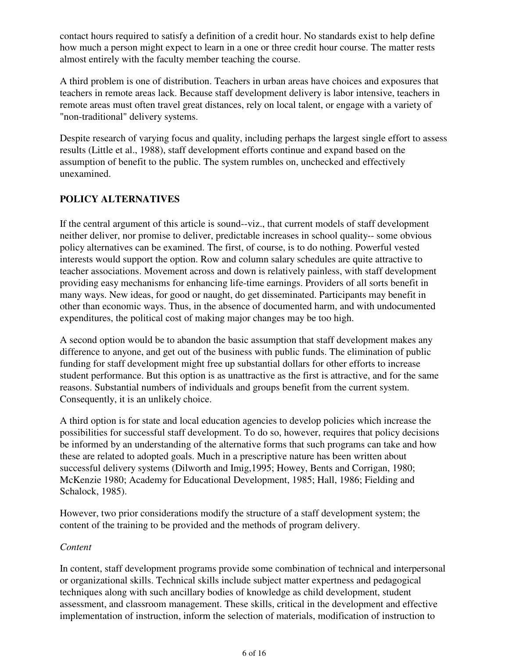contact hours required to satisfy a definition of a credit hour. No standards exist to help define how much a person might expect to learn in a one or three credit hour course. The matter rests almost entirely with the faculty member teaching the course.

A third problem is one of distribution. Teachers in urban areas have choices and exposures that teachers in remote areas lack. Because staff development delivery is labor intensive, teachers in remote areas must often travel great distances, rely on local talent, or engage with a variety of "non-traditional" delivery systems.

Despite research of varying focus and quality, including perhaps the largest single effort to assess results (Little et al., 1988), staff development efforts continue and expand based on the assumption of benefit to the public. The system rumbles on, unchecked and effectively unexamined.

# **POLICY ALTERNATIVES**

If the central argument of this article is sound--viz., that current models of staff development neither deliver, nor promise to deliver, predictable increases in school quality-- some obvious policy alternatives can be examined. The first, of course, is to do nothing. Powerful vested interests would support the option. Row and column salary schedules are quite attractive to teacher associations. Movement across and down is relatively painless, with staff development providing easy mechanisms for enhancing life-time earnings. Providers of all sorts benefit in many ways. New ideas, for good or naught, do get disseminated. Participants may benefit in other than economic ways. Thus, in the absence of documented harm, and with undocumented expenditures, the political cost of making major changes may be too high.

A second option would be to abandon the basic assumption that staff development makes any difference to anyone, and get out of the business with public funds. The elimination of public funding for staff development might free up substantial dollars for other efforts to increase student performance. But this option is as unattractive as the first is attractive, and for the same reasons. Substantial numbers of individuals and groups benefit from the current system. Consequently, it is an unlikely choice.

A third option is for state and local education agencies to develop policies which increase the possibilities for successful staff development. To do so, however, requires that policy decisions be informed by an understanding of the alternative forms that such programs can take and how these are related to adopted goals. Much in a prescriptive nature has been written about successful delivery systems (Dilworth and Imig,1995; Howey, Bents and Corrigan, 1980; McKenzie 1980; Academy for Educational Development, 1985; Hall, 1986; Fielding and Schalock, 1985).

However, two prior considerations modify the structure of a staff development system; the content of the training to be provided and the methods of program delivery.

### *Content*

In content, staff development programs provide some combination of technical and interpersonal or organizational skills. Technical skills include subject matter expertness and pedagogical techniques along with such ancillary bodies of knowledge as child development, student assessment, and classroom management. These skills, critical in the development and effective implementation of instruction, inform the selection of materials, modification of instruction to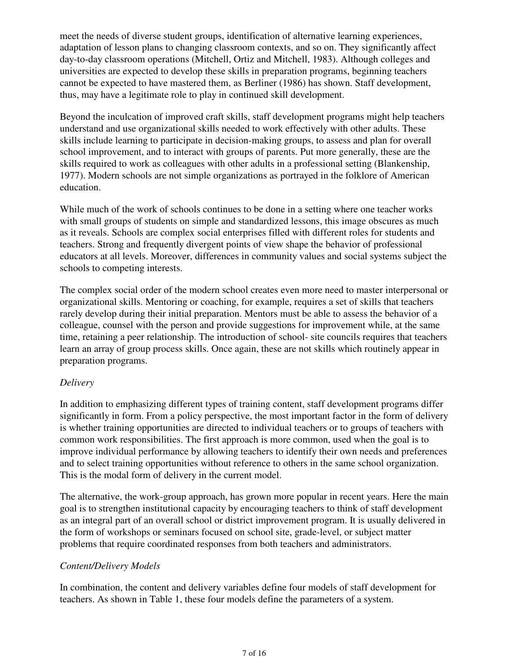meet the needs of diverse student groups, identification of alternative learning experiences, adaptation of lesson plans to changing classroom contexts, and so on. They significantly affect day-to-day classroom operations (Mitchell, Ortiz and Mitchell, 1983). Although colleges and universities are expected to develop these skills in preparation programs, beginning teachers cannot be expected to have mastered them, as Berliner (1986) has shown. Staff development, thus, may have a legitimate role to play in continued skill development.

Beyond the inculcation of improved craft skills, staff development programs might help teachers understand and use organizational skills needed to work effectively with other adults. These skills include learning to participate in decision-making groups, to assess and plan for overall school improvement, and to interact with groups of parents. Put more generally, these are the skills required to work as colleagues with other adults in a professional setting (Blankenship, 1977). Modern schools are not simple organizations as portrayed in the folklore of American education.

While much of the work of schools continues to be done in a setting where one teacher works with small groups of students on simple and standardized lessons, this image obscures as much as it reveals. Schools are complex social enterprises filled with different roles for students and teachers. Strong and frequently divergent points of view shape the behavior of professional educators at all levels. Moreover, differences in community values and social systems subject the schools to competing interests.

The complex social order of the modern school creates even more need to master interpersonal or organizational skills. Mentoring or coaching, for example, requires a set of skills that teachers rarely develop during their initial preparation. Mentors must be able to assess the behavior of a colleague, counsel with the person and provide suggestions for improvement while, at the same time, retaining a peer relationship. The introduction of school- site councils requires that teachers learn an array of group process skills. Once again, these are not skills which routinely appear in preparation programs.

### *Delivery*

In addition to emphasizing different types of training content, staff development programs differ significantly in form. From a policy perspective, the most important factor in the form of delivery is whether training opportunities are directed to individual teachers or to groups of teachers with common work responsibilities. The first approach is more common, used when the goal is to improve individual performance by allowing teachers to identify their own needs and preferences and to select training opportunities without reference to others in the same school organization. This is the modal form of delivery in the current model.

The alternative, the work-group approach, has grown more popular in recent years. Here the main goal is to strengthen institutional capacity by encouraging teachers to think of staff development as an integral part of an overall school or district improvement program. It is usually delivered in the form of workshops or seminars focused on school site, grade-level, or subject matter problems that require coordinated responses from both teachers and administrators.

#### *Content/Delivery Models*

In combination, the content and delivery variables define four models of staff development for teachers. As shown in Table 1, these four models define the parameters of a system.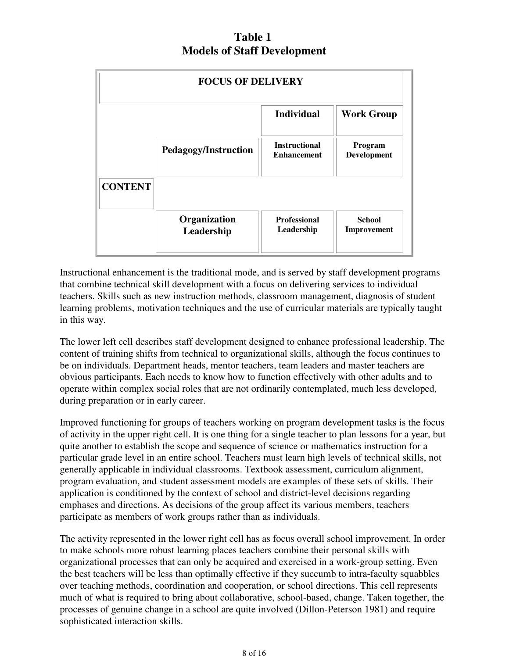# **Table 1 Models of Staff Development**

| <b>FOCUS OF DELIVERY</b> |                             |                                            |                              |  |
|--------------------------|-----------------------------|--------------------------------------------|------------------------------|--|
|                          |                             | <b>Individual</b>                          | <b>Work Group</b>            |  |
|                          | <b>Pedagogy/Instruction</b> | <b>Instructional</b><br><b>Enhancement</b> | Program<br>Development       |  |
| <b>CONTENT</b>           |                             |                                            |                              |  |
|                          | Organization<br>Leadership  | <b>Professional</b><br>Leadership          | <b>School</b><br>Improvement |  |

Instructional enhancement is the traditional mode, and is served by staff development programs that combine technical skill development with a focus on delivering services to individual teachers. Skills such as new instruction methods, classroom management, diagnosis of student learning problems, motivation techniques and the use of curricular materials are typically taught in this way.

The lower left cell describes staff development designed to enhance professional leadership. The content of training shifts from technical to organizational skills, although the focus continues to be on individuals. Department heads, mentor teachers, team leaders and master teachers are obvious participants. Each needs to know how to function effectively with other adults and to operate within complex social roles that are not ordinarily contemplated, much less developed, during preparation or in early career.

Improved functioning for groups of teachers working on program development tasks is the focus of activity in the upper right cell. It is one thing for a single teacher to plan lessons for a year, but quite another to establish the scope and sequence of science or mathematics instruction for a particular grade level in an entire school. Teachers must learn high levels of technical skills, not generally applicable in individual classrooms. Textbook assessment, curriculum alignment, program evaluation, and student assessment models are examples of these sets of skills. Their application is conditioned by the context of school and district-level decisions regarding emphases and directions. As decisions of the group affect its various members, teachers participate as members of work groups rather than as individuals.

The activity represented in the lower right cell has as focus overall school improvement. In order to make schools more robust learning places teachers combine their personal skills with organizational processes that can only be acquired and exercised in a work-group setting. Even the best teachers will be less than optimally effective if they succumb to intra-faculty squabbles over teaching methods, coordination and cooperation, or school directions. This cell represents much of what is required to bring about collaborative, school-based, change. Taken together, the processes of genuine change in a school are quite involved (Dillon-Peterson 1981) and require sophisticated interaction skills.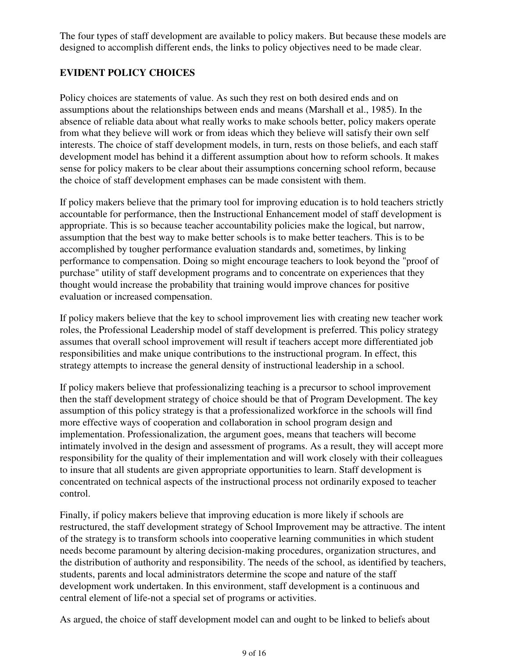The four types of staff development are available to policy makers. But because these models are designed to accomplish different ends, the links to policy objectives need to be made clear.

### **EVIDENT POLICY CHOICES**

Policy choices are statements of value. As such they rest on both desired ends and on assumptions about the relationships between ends and means (Marshall et al., 1985). In the absence of reliable data about what really works to make schools better, policy makers operate from what they believe will work or from ideas which they believe will satisfy their own self interests. The choice of staff development models, in turn, rests on those beliefs, and each staff development model has behind it a different assumption about how to reform schools. It makes sense for policy makers to be clear about their assumptions concerning school reform, because the choice of staff development emphases can be made consistent with them.

If policy makers believe that the primary tool for improving education is to hold teachers strictly accountable for performance, then the Instructional Enhancement model of staff development is appropriate. This is so because teacher accountability policies make the logical, but narrow, assumption that the best way to make better schools is to make better teachers. This is to be accomplished by tougher performance evaluation standards and, sometimes, by linking performance to compensation. Doing so might encourage teachers to look beyond the "proof of purchase" utility of staff development programs and to concentrate on experiences that they thought would increase the probability that training would improve chances for positive evaluation or increased compensation.

If policy makers believe that the key to school improvement lies with creating new teacher work roles, the Professional Leadership model of staff development is preferred. This policy strategy assumes that overall school improvement will result if teachers accept more differentiated job responsibilities and make unique contributions to the instructional program. In effect, this strategy attempts to increase the general density of instructional leadership in a school.

If policy makers believe that professionalizing teaching is a precursor to school improvement then the staff development strategy of choice should be that of Program Development. The key assumption of this policy strategy is that a professionalized workforce in the schools will find more effective ways of cooperation and collaboration in school program design and implementation. Professionalization, the argument goes, means that teachers will become intimately involved in the design and assessment of programs. As a result, they will accept more responsibility for the quality of their implementation and will work closely with their colleagues to insure that all students are given appropriate opportunities to learn. Staff development is concentrated on technical aspects of the instructional process not ordinarily exposed to teacher control.

Finally, if policy makers believe that improving education is more likely if schools are restructured, the staff development strategy of School Improvement may be attractive. The intent of the strategy is to transform schools into cooperative learning communities in which student needs become paramount by altering decision-making procedures, organization structures, and the distribution of authority and responsibility. The needs of the school, as identified by teachers, students, parents and local administrators determine the scope and nature of the staff development work undertaken. In this environment, staff development is a continuous and central element of life-not a special set of programs or activities.

As argued, the choice of staff development model can and ought to be linked to beliefs about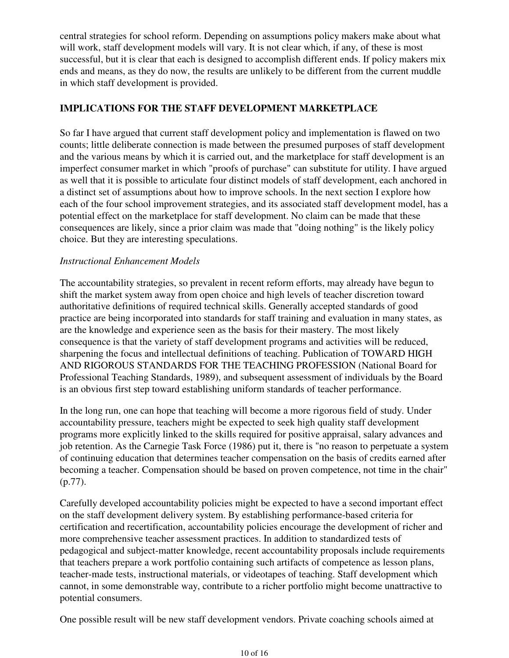central strategies for school reform. Depending on assumptions policy makers make about what will work, staff development models will vary. It is not clear which, if any, of these is most successful, but it is clear that each is designed to accomplish different ends. If policy makers mix ends and means, as they do now, the results are unlikely to be different from the current muddle in which staff development is provided.

### **IMPLICATIONS FOR THE STAFF DEVELOPMENT MARKETPLACE**

So far I have argued that current staff development policy and implementation is flawed on two counts; little deliberate connection is made between the presumed purposes of staff development and the various means by which it is carried out, and the marketplace for staff development is an imperfect consumer market in which "proofs of purchase" can substitute for utility. I have argued as well that it is possible to articulate four distinct models of staff development, each anchored in a distinct set of assumptions about how to improve schools. In the next section I explore how each of the four school improvement strategies, and its associated staff development model, has a potential effect on the marketplace for staff development. No claim can be made that these consequences are likely, since a prior claim was made that "doing nothing" is the likely policy choice. But they are interesting speculations.

### *Instructional Enhancement Models*

The accountability strategies, so prevalent in recent reform efforts, may already have begun to shift the market system away from open choice and high levels of teacher discretion toward authoritative definitions of required technical skills. Generally accepted standards of good practice are being incorporated into standards for staff training and evaluation in many states, as are the knowledge and experience seen as the basis for their mastery. The most likely consequence is that the variety of staff development programs and activities will be reduced, sharpening the focus and intellectual definitions of teaching. Publication of TOWARD HIGH AND RIGOROUS STANDARDS FOR THE TEACHING PROFESSION (National Board for Professional Teaching Standards, 1989), and subsequent assessment of individuals by the Board is an obvious first step toward establishing uniform standards of teacher performance.

In the long run, one can hope that teaching will become a more rigorous field of study. Under accountability pressure, teachers might be expected to seek high quality staff development programs more explicitly linked to the skills required for positive appraisal, salary advances and job retention. As the Carnegie Task Force (1986) put it, there is "no reason to perpetuate a system of continuing education that determines teacher compensation on the basis of credits earned after becoming a teacher. Compensation should be based on proven competence, not time in the chair" (p.77).

Carefully developed accountability policies might be expected to have a second important effect on the staff development delivery system. By establishing performance-based criteria for certification and recertification, accountability policies encourage the development of richer and more comprehensive teacher assessment practices. In addition to standardized tests of pedagogical and subject-matter knowledge, recent accountability proposals include requirements that teachers prepare a work portfolio containing such artifacts of competence as lesson plans, teacher-made tests, instructional materials, or videotapes of teaching. Staff development which cannot, in some demonstrable way, contribute to a richer portfolio might become unattractive to potential consumers.

One possible result will be new staff development vendors. Private coaching schools aimed at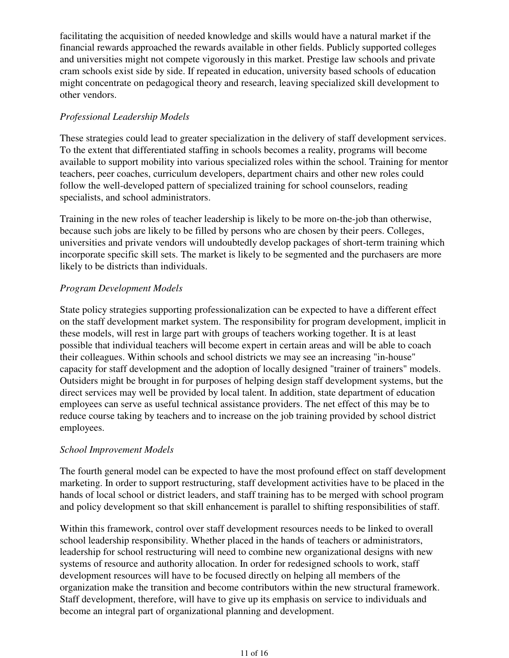facilitating the acquisition of needed knowledge and skills would have a natural market if the financial rewards approached the rewards available in other fields. Publicly supported colleges and universities might not compete vigorously in this market. Prestige law schools and private cram schools exist side by side. If repeated in education, university based schools of education might concentrate on pedagogical theory and research, leaving specialized skill development to other vendors.

## *Professional Leadership Models*

These strategies could lead to greater specialization in the delivery of staff development services. To the extent that differentiated staffing in schools becomes a reality, programs will become available to support mobility into various specialized roles within the school. Training for mentor teachers, peer coaches, curriculum developers, department chairs and other new roles could follow the well-developed pattern of specialized training for school counselors, reading specialists, and school administrators.

Training in the new roles of teacher leadership is likely to be more on-the-job than otherwise, because such jobs are likely to be filled by persons who are chosen by their peers. Colleges, universities and private vendors will undoubtedly develop packages of short-term training which incorporate specific skill sets. The market is likely to be segmented and the purchasers are more likely to be districts than individuals.

### *Program Development Models*

State policy strategies supporting professionalization can be expected to have a different effect on the staff development market system. The responsibility for program development, implicit in these models, will rest in large part with groups of teachers working together. It is at least possible that individual teachers will become expert in certain areas and will be able to coach their colleagues. Within schools and school districts we may see an increasing "in-house" capacity for staff development and the adoption of locally designed "trainer of trainers" models. Outsiders might be brought in for purposes of helping design staff development systems, but the direct services may well be provided by local talent. In addition, state department of education employees can serve as useful technical assistance providers. The net effect of this may be to reduce course taking by teachers and to increase on the job training provided by school district employees.

### *School Improvement Models*

The fourth general model can be expected to have the most profound effect on staff development marketing. In order to support restructuring, staff development activities have to be placed in the hands of local school or district leaders, and staff training has to be merged with school program and policy development so that skill enhancement is parallel to shifting responsibilities of staff.

Within this framework, control over staff development resources needs to be linked to overall school leadership responsibility. Whether placed in the hands of teachers or administrators, leadership for school restructuring will need to combine new organizational designs with new systems of resource and authority allocation. In order for redesigned schools to work, staff development resources will have to be focused directly on helping all members of the organization make the transition and become contributors within the new structural framework. Staff development, therefore, will have to give up its emphasis on service to individuals and become an integral part of organizational planning and development.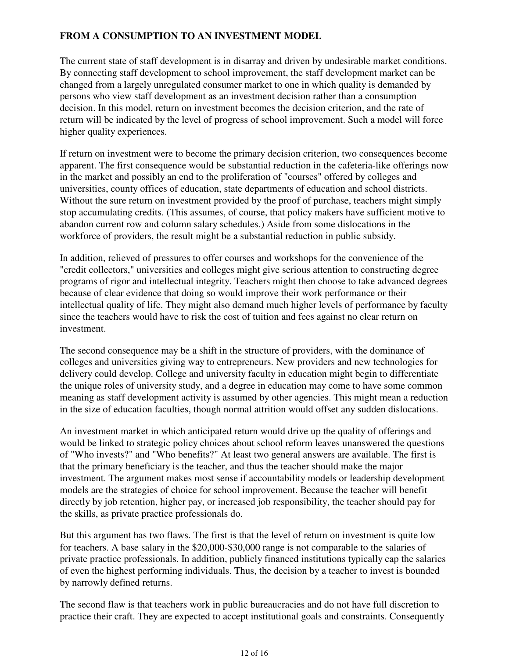## **FROM A CONSUMPTION TO AN INVESTMENT MODEL**

The current state of staff development is in disarray and driven by undesirable market conditions. By connecting staff development to school improvement, the staff development market can be changed from a largely unregulated consumer market to one in which quality is demanded by persons who view staff development as an investment decision rather than a consumption decision. In this model, return on investment becomes the decision criterion, and the rate of return will be indicated by the level of progress of school improvement. Such a model will force higher quality experiences.

If return on investment were to become the primary decision criterion, two consequences become apparent. The first consequence would be substantial reduction in the cafeteria-like offerings now in the market and possibly an end to the proliferation of "courses" offered by colleges and universities, county offices of education, state departments of education and school districts. Without the sure return on investment provided by the proof of purchase, teachers might simply stop accumulating credits. (This assumes, of course, that policy makers have sufficient motive to abandon current row and column salary schedules.) Aside from some dislocations in the workforce of providers, the result might be a substantial reduction in public subsidy.

In addition, relieved of pressures to offer courses and workshops for the convenience of the "credit collectors," universities and colleges might give serious attention to constructing degree programs of rigor and intellectual integrity. Teachers might then choose to take advanced degrees because of clear evidence that doing so would improve their work performance or their intellectual quality of life. They might also demand much higher levels of performance by faculty since the teachers would have to risk the cost of tuition and fees against no clear return on investment.

The second consequence may be a shift in the structure of providers, with the dominance of colleges and universities giving way to entrepreneurs. New providers and new technologies for delivery could develop. College and university faculty in education might begin to differentiate the unique roles of university study, and a degree in education may come to have some common meaning as staff development activity is assumed by other agencies. This might mean a reduction in the size of education faculties, though normal attrition would offset any sudden dislocations.

An investment market in which anticipated return would drive up the quality of offerings and would be linked to strategic policy choices about school reform leaves unanswered the questions of "Who invests?" and "Who benefits?" At least two general answers are available. The first is that the primary beneficiary is the teacher, and thus the teacher should make the major investment. The argument makes most sense if accountability models or leadership development models are the strategies of choice for school improvement. Because the teacher will benefit directly by job retention, higher pay, or increased job responsibility, the teacher should pay for the skills, as private practice professionals do.

But this argument has two flaws. The first is that the level of return on investment is quite low for teachers. A base salary in the \$20,000-\$30,000 range is not comparable to the salaries of private practice professionals. In addition, publicly financed institutions typically cap the salaries of even the highest performing individuals. Thus, the decision by a teacher to invest is bounded by narrowly defined returns.

The second flaw is that teachers work in public bureaucracies and do not have full discretion to practice their craft. They are expected to accept institutional goals and constraints. Consequently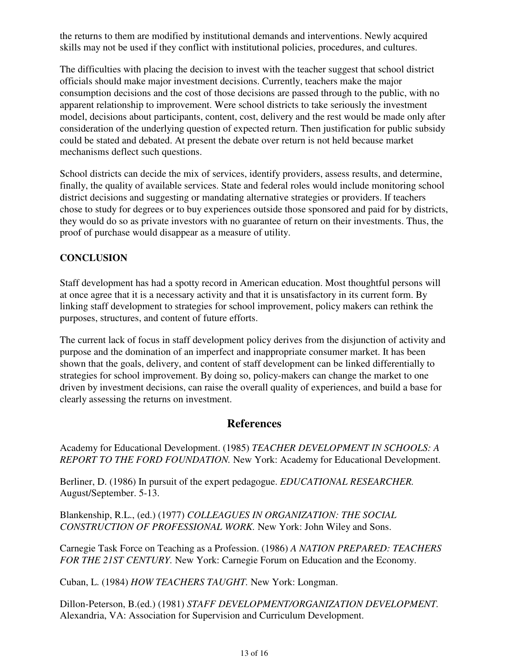the returns to them are modified by institutional demands and interventions. Newly acquired skills may not be used if they conflict with institutional policies, procedures, and cultures.

The difficulties with placing the decision to invest with the teacher suggest that school district officials should make major investment decisions. Currently, teachers make the major consumption decisions and the cost of those decisions are passed through to the public, with no apparent relationship to improvement. Were school districts to take seriously the investment model, decisions about participants, content, cost, delivery and the rest would be made only after consideration of the underlying question of expected return. Then justification for public subsidy could be stated and debated. At present the debate over return is not held because market mechanisms deflect such questions.

School districts can decide the mix of services, identify providers, assess results, and determine, finally, the quality of available services. State and federal roles would include monitoring school district decisions and suggesting or mandating alternative strategies or providers. If teachers chose to study for degrees or to buy experiences outside those sponsored and paid for by districts, they would do so as private investors with no guarantee of return on their investments. Thus, the proof of purchase would disappear as a measure of utility.

## **CONCLUSION**

Staff development has had a spotty record in American education. Most thoughtful persons will at once agree that it is a necessary activity and that it is unsatisfactory in its current form. By linking staff development to strategies for school improvement, policy makers can rethink the purposes, structures, and content of future efforts.

The current lack of focus in staff development policy derives from the disjunction of activity and purpose and the domination of an imperfect and inappropriate consumer market. It has been shown that the goals, delivery, and content of staff development can be linked differentially to strategies for school improvement. By doing so, policy-makers can change the market to one driven by investment decisions, can raise the overall quality of experiences, and build a base for clearly assessing the returns on investment.

# **References**

Academy for Educational Development. (1985) *TEACHER DEVELOPMENT IN SCHOOLS: A REPORT TO THE FORD FOUNDATION.* New York: Academy for Educational Development.

Berliner, D. (1986) In pursuit of the expert pedagogue. *EDUCATIONAL RESEARCHER.* August/September. 5-13.

Blankenship, R.L., (ed.) (1977) *COLLEAGUES IN ORGANIZATION: THE SOCIAL CONSTRUCTION OF PROFESSIONAL WORK.* New York: John Wiley and Sons.

Carnegie Task Force on Teaching as a Profession. (1986) *A NATION PREPARED: TEACHERS FOR THE 21ST CENTURY.* New York: Carnegie Forum on Education and the Economy.

Cuban, L. (1984) *HOW TEACHERS TAUGHT.* New York: Longman.

Dillon-Peterson, B.(ed.) (1981) *STAFF DEVELOPMENT/ORGANIZATION DEVELOPMENT.* Alexandria, VA: Association for Supervision and Curriculum Development.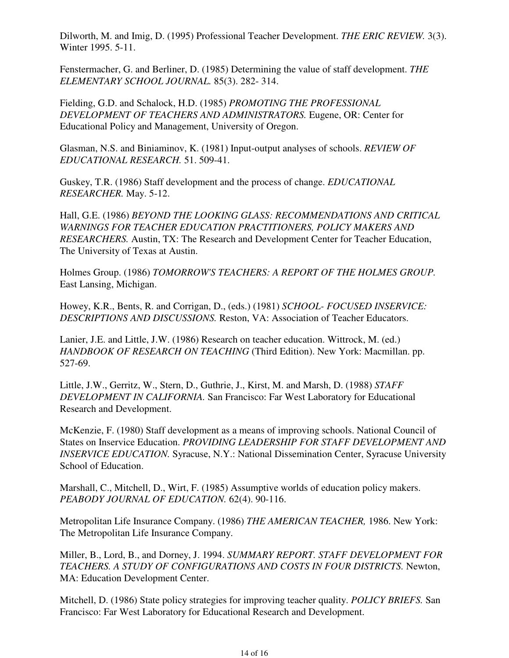Dilworth, M. and Imig, D. (1995) Professional Teacher Development. *THE ERIC REVIEW.* 3(3). Winter 1995. 5-11.

Fenstermacher, G. and Berliner, D. (1985) Determining the value of staff development. *THE ELEMENTARY SCHOOL JOURNAL.* 85(3). 282- 314.

Fielding, G.D. and Schalock, H.D. (1985) *PROMOTING THE PROFESSIONAL DEVELOPMENT OF TEACHERS AND ADMINISTRATORS.* Eugene, OR: Center for Educational Policy and Management, University of Oregon.

Glasman, N.S. and Biniaminov, K. (1981) Input-output analyses of schools. *REVIEW OF EDUCATIONAL RESEARCH.* 51. 509-41.

Guskey, T.R. (1986) Staff development and the process of change. *EDUCATIONAL RESEARCHER.* May. 5-12.

Hall, G.E. (1986) *BEYOND THE LOOKING GLASS: RECOMMENDATIONS AND CRITICAL WARNINGS FOR TEACHER EDUCATION PRACTITIONERS, POLICY MAKERS AND RESEARCHERS.* Austin, TX: The Research and Development Center for Teacher Education, The University of Texas at Austin.

Holmes Group. (1986) *TOMORROW'S TEACHERS: A REPORT OF THE HOLMES GROUP.* East Lansing, Michigan.

Howey, K.R., Bents, R. and Corrigan, D., (eds.) (1981) *SCHOOL- FOCUSED INSERVICE: DESCRIPTIONS AND DISCUSSIONS.* Reston, VA: Association of Teacher Educators.

Lanier, J.E. and Little, J.W. (1986) Research on teacher education. Wittrock, M. (ed.) *HANDBOOK OF RESEARCH ON TEACHING* (Third Edition). New York: Macmillan. pp. 527-69.

Little, J.W., Gerritz, W., Stern, D., Guthrie, J., Kirst, M. and Marsh, D. (1988) *STAFF DEVELOPMENT IN CALIFORNIA.* San Francisco: Far West Laboratory for Educational Research and Development.

McKenzie, F. (1980) Staff development as a means of improving schools. National Council of States on Inservice Education. *PROVIDING LEADERSHIP FOR STAFF DEVELOPMENT AND INSERVICE EDUCATION.* Syracuse, N.Y.: National Dissemination Center, Syracuse University School of Education.

Marshall, C., Mitchell, D., Wirt, F. (1985) Assumptive worlds of education policy makers. *PEABODY JOURNAL OF EDUCATION.* 62(4). 90-116.

Metropolitan Life Insurance Company. (1986) *THE AMERICAN TEACHER,* 1986. New York: The Metropolitan Life Insurance Company.

Miller, B., Lord, B., and Dorney, J. 1994. *SUMMARY REPORT. STAFF DEVELOPMENT FOR TEACHERS. A STUDY OF CONFIGURATIONS AND COSTS IN FOUR DISTRICTS.* Newton, MA: Education Development Center.

Mitchell, D. (1986) State policy strategies for improving teacher quality. *POLICY BRIEFS.* San Francisco: Far West Laboratory for Educational Research and Development.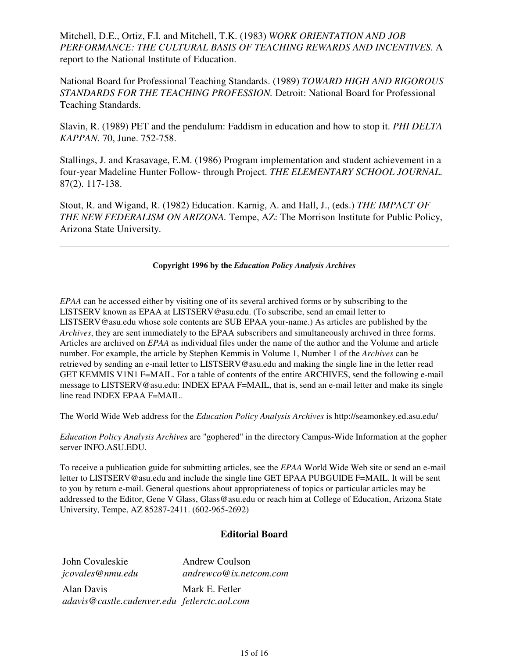Mitchell, D.E., Ortiz, F.I. and Mitchell, T.K. (1983) *WORK ORIENTATION AND JOB PERFORMANCE: THE CULTURAL BASIS OF TEACHING REWARDS AND INCENTIVES.* A report to the National Institute of Education.

National Board for Professional Teaching Standards. (1989) *TOWARD HIGH AND RIGOROUS STANDARDS FOR THE TEACHING PROFESSION.* Detroit: National Board for Professional Teaching Standards.

Slavin, R. (1989) PET and the pendulum: Faddism in education and how to stop it. *PHI DELTA KAPPAN.* 70, June. 752-758.

Stallings, J. and Krasavage, E.M. (1986) Program implementation and student achievement in a four-year Madeline Hunter Follow- through Project. *THE ELEMENTARY SCHOOL JOURNAL.* 87(2). 117-138.

Stout, R. and Wigand, R. (1982) Education. Karnig, A. and Hall, J., (eds.) *THE IMPACT OF THE NEW FEDERALISM ON ARIZONA.* Tempe, AZ: The Morrison Institute for Public Policy, Arizona State University.

#### **Copyright 1996 by the** *Education Policy Analysis Archives*

*EPAA* can be accessed either by visiting one of its several archived forms or by subscribing to the LISTSERV known as EPAA at LISTSERV@asu.edu. (To subscribe, send an email letter to LISTSERV@asu.edu whose sole contents are SUB EPAA your-name.) As articles are published by the *Archives*, they are sent immediately to the EPAA subscribers and simultaneously archived in three forms. Articles are archived on *EPAA* as individual files under the name of the author and the Volume and article number. For example, the article by Stephen Kemmis in Volume 1, Number 1 of the *Archives* can be retrieved by sending an e-mail letter to LISTSERV@asu.edu and making the single line in the letter read GET KEMMIS V1N1 F=MAIL. For a table of contents of the entire ARCHIVES, send the following e-mail message to LISTSERV@asu.edu: INDEX EPAA F=MAIL, that is, send an e-mail letter and make its single line read INDEX EPAA F=MAIL.

The World Wide Web address for the *Education Policy Analysis Archives* is http://seamonkey.ed.asu.edu/

*Education Policy Analysis Archives* are "gophered" in the directory Campus-Wide Information at the gopher server INFO.ASU.EDU.

To receive a publication guide for submitting articles, see the *EPAA* World Wide Web site or send an e-mail letter to LISTSERV@asu.edu and include the single line GET EPAA PUBGUIDE F=MAIL. It will be sent to you by return e-mail. General questions about appropriateness of topics or particular articles may be addressed to the Editor, Gene V Glass, Glass@asu.edu or reach him at College of Education, Arizona State University, Tempe, AZ 85287-2411. (602-965-2692)

#### **Editorial Board**

| John Covaleskie                              | <b>Andrew Coulson</b>  |
|----------------------------------------------|------------------------|
| jcovales@nmu.edu                             | andrewco@ix.netcom.com |
| Alan Davis                                   | Mark E. Fetler         |
| adavis@castle.cudenver.edu_fetlerctc.aol.com |                        |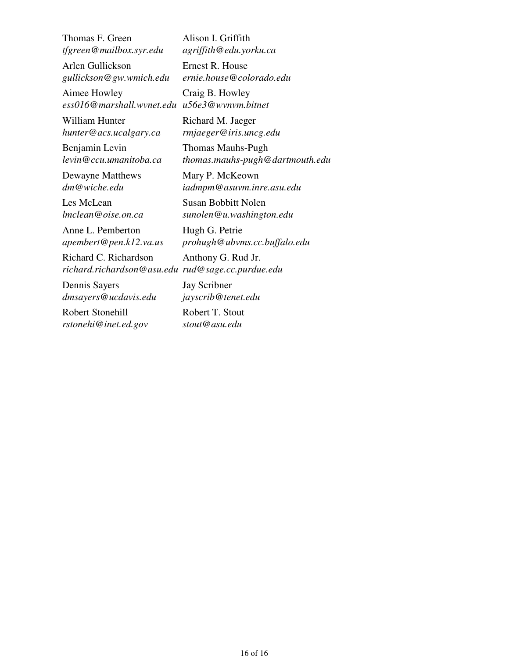Thomas F. Green *tfgreen@mailbox.syr.edu*

Arlen Gullickson *gullickson@gw.wmich.edu*

Aimee Howley *ess016@marshall.wvnet.edu u56e3@wvnvm.bitnet* Craig B. Howley

William Hunter *hunter@acs.ucalgary.ca*

Benjamin Levin *levin@ccu.umanitoba.ca*

Dewayne Matthews *dm@wiche.edu*

Les McLean *lmclean@oise.on.ca*

Anne L. Pemberton *apembert@pen.k12.va.us*

Richard C. Richardson *richard.richardson@asu.edu rud@sage.cc.purdue.edu*

Dennis Sayers *dmsayers@ucdavis.edu*

Robert Stonehill *rstonehi@inet.ed.gov* Alison I. Griffith *agriffith@edu.yorku.ca*

Ernest R. House *ernie.house@colorado.edu*

Richard M. Jaeger *rmjaeger@iris.uncg.edu*

Thomas Mauhs-Pugh *thomas.mauhs-pugh@dartmouth.edu*

Mary P. McKeown *iadmpm@asuvm.inre.asu.edu*

Susan Bobbitt Nolen *sunolen@u.washington.edu*

Hugh G. Petrie *prohugh@ubvms.cc.buffalo.edu*

Anthony G. Rud Jr.

Jay Scribner *jayscrib@tenet.edu*

Robert T. Stout *stout@asu.edu*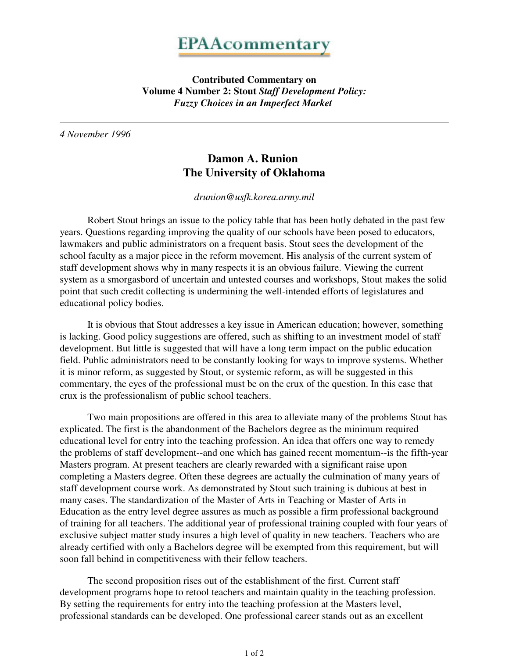# **EPAAcommentary**

**Contributed Commentary on Volume 4 Number 2: Stout** *Staff Development Policy: Fuzzy Choices in an Imperfect Market* 

*4 November 1996*

# **Damon A. Runion The University of Oklahoma**

*drunion@usfk.korea.army.mil*

 Robert Stout brings an issue to the policy table that has been hotly debated in the past few years. Questions regarding improving the quality of our schools have been posed to educators, lawmakers and public administrators on a frequent basis. Stout sees the development of the school faculty as a major piece in the reform movement. His analysis of the current system of staff development shows why in many respects it is an obvious failure. Viewing the current system as a smorgasbord of uncertain and untested courses and workshops, Stout makes the solid point that such credit collecting is undermining the well-intended efforts of legislatures and educational policy bodies.

 It is obvious that Stout addresses a key issue in American education; however, something is lacking. Good policy suggestions are offered, such as shifting to an investment model of staff development. But little is suggested that will have a long term impact on the public education field. Public administrators need to be constantly looking for ways to improve systems. Whether it is minor reform, as suggested by Stout, or systemic reform, as will be suggested in this commentary, the eyes of the professional must be on the crux of the question. In this case that crux is the professionalism of public school teachers.

 Two main propositions are offered in this area to alleviate many of the problems Stout has explicated. The first is the abandonment of the Bachelors degree as the minimum required educational level for entry into the teaching profession. An idea that offers one way to remedy the problems of staff development--and one which has gained recent momentum--is the fifth-year Masters program. At present teachers are clearly rewarded with a significant raise upon completing a Masters degree. Often these degrees are actually the culmination of many years of staff development course work. As demonstrated by Stout such training is dubious at best in many cases. The standardization of the Master of Arts in Teaching or Master of Arts in Education as the entry level degree assures as much as possible a firm professional background of training for all teachers. The additional year of professional training coupled with four years of exclusive subject matter study insures a high level of quality in new teachers. Teachers who are already certified with only a Bachelors degree will be exempted from this requirement, but will soon fall behind in competitiveness with their fellow teachers.

 The second proposition rises out of the establishment of the first. Current staff development programs hope to retool teachers and maintain quality in the teaching profession. By setting the requirements for entry into the teaching profession at the Masters level, professional standards can be developed. One professional career stands out as an excellent